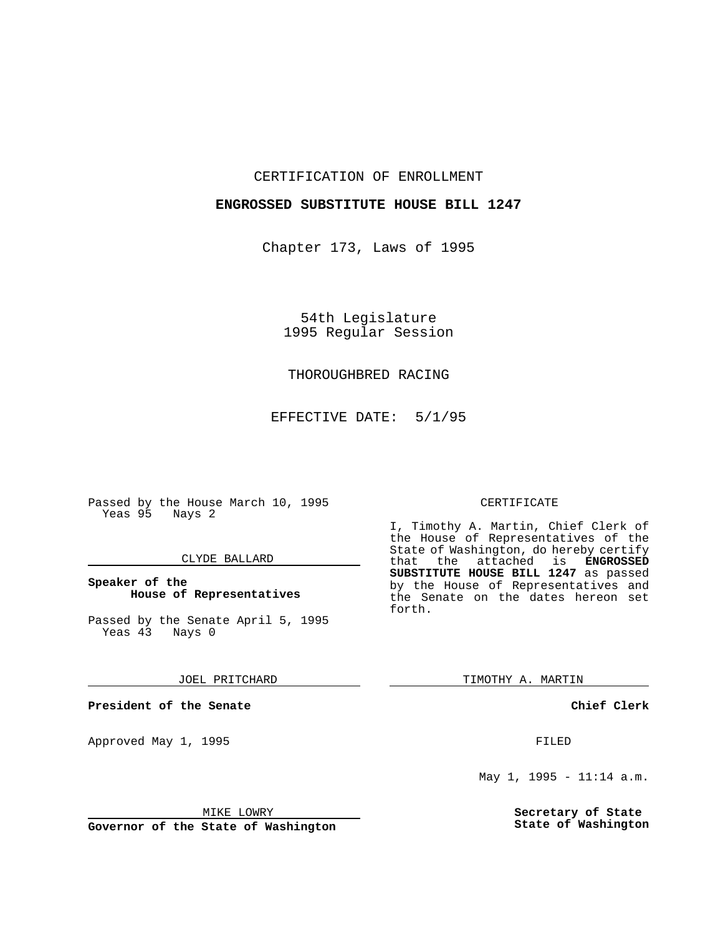## CERTIFICATION OF ENROLLMENT

## **ENGROSSED SUBSTITUTE HOUSE BILL 1247**

Chapter 173, Laws of 1995

54th Legislature 1995 Regular Session

## THOROUGHBRED RACING

EFFECTIVE DATE: 5/1/95

Passed by the House March 10, 1995 Yeas 95 Nays 2

## CLYDE BALLARD

## **Speaker of the House of Representatives**

Passed by the Senate April 5, 1995<br>Yeas 43 Nays 0 Yeas 43

#### JOEL PRITCHARD

**President of the Senate**

Approved May 1, 1995 **FILED** 

### MIKE LOWRY

**Governor of the State of Washington**

### CERTIFICATE

I, Timothy A. Martin, Chief Clerk of the House of Representatives of the State of Washington, do hereby certify<br>that the attached is **ENGROSSED** the attached is **ENGROSSED SUBSTITUTE HOUSE BILL 1247** as passed by the House of Representatives and the Senate on the dates hereon set forth.

TIMOTHY A. MARTIN

**Chief Clerk**

May 1, 1995 - 11:14 a.m.

**Secretary of State State of Washington**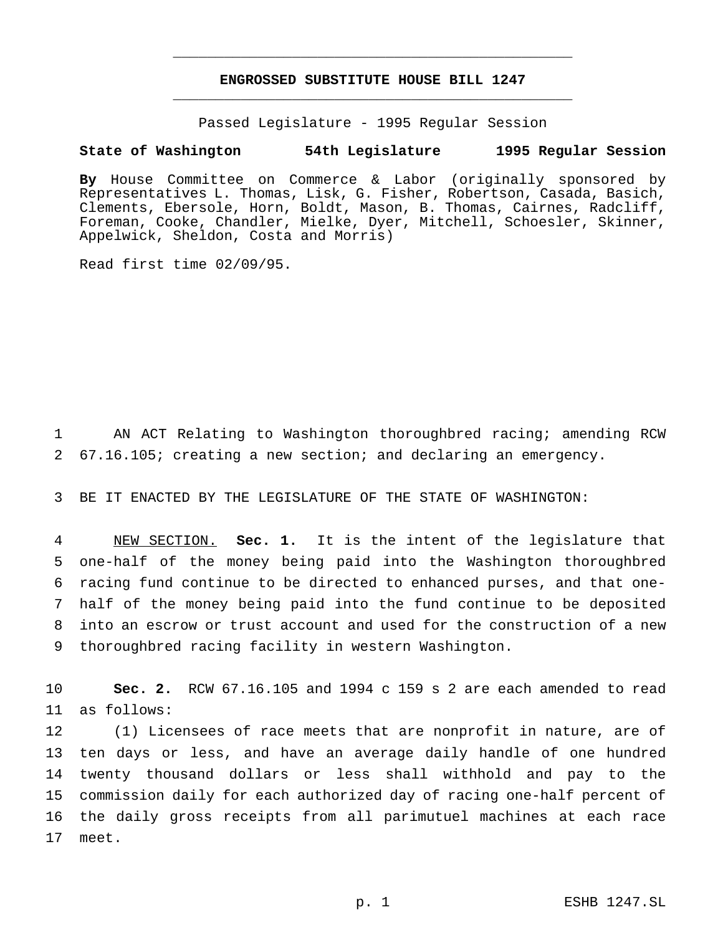# **ENGROSSED SUBSTITUTE HOUSE BILL 1247** \_\_\_\_\_\_\_\_\_\_\_\_\_\_\_\_\_\_\_\_\_\_\_\_\_\_\_\_\_\_\_\_\_\_\_\_\_\_\_\_\_\_\_\_\_\_\_

\_\_\_\_\_\_\_\_\_\_\_\_\_\_\_\_\_\_\_\_\_\_\_\_\_\_\_\_\_\_\_\_\_\_\_\_\_\_\_\_\_\_\_\_\_\_\_

Passed Legislature - 1995 Regular Session

### **State of Washington 54th Legislature 1995 Regular Session**

**By** House Committee on Commerce & Labor (originally sponsored by Representatives L. Thomas, Lisk, G. Fisher, Robertson, Casada, Basich, Clements, Ebersole, Horn, Boldt, Mason, B. Thomas, Cairnes, Radcliff, Foreman, Cooke, Chandler, Mielke, Dyer, Mitchell, Schoesler, Skinner, Appelwick, Sheldon, Costa and Morris)

Read first time 02/09/95.

1 AN ACT Relating to Washington thoroughbred racing; amending RCW 2 67.16.105; creating a new section; and declaring an emergency.

3 BE IT ENACTED BY THE LEGISLATURE OF THE STATE OF WASHINGTON:

 NEW SECTION. **Sec. 1.** It is the intent of the legislature that one-half of the money being paid into the Washington thoroughbred racing fund continue to be directed to enhanced purses, and that one- half of the money being paid into the fund continue to be deposited into an escrow or trust account and used for the construction of a new thoroughbred racing facility in western Washington.

10 **Sec. 2.** RCW 67.16.105 and 1994 c 159 s 2 are each amended to read 11 as follows:

 (1) Licensees of race meets that are nonprofit in nature, are of ten days or less, and have an average daily handle of one hundred twenty thousand dollars or less shall withhold and pay to the commission daily for each authorized day of racing one-half percent of the daily gross receipts from all parimutuel machines at each race 17 meet.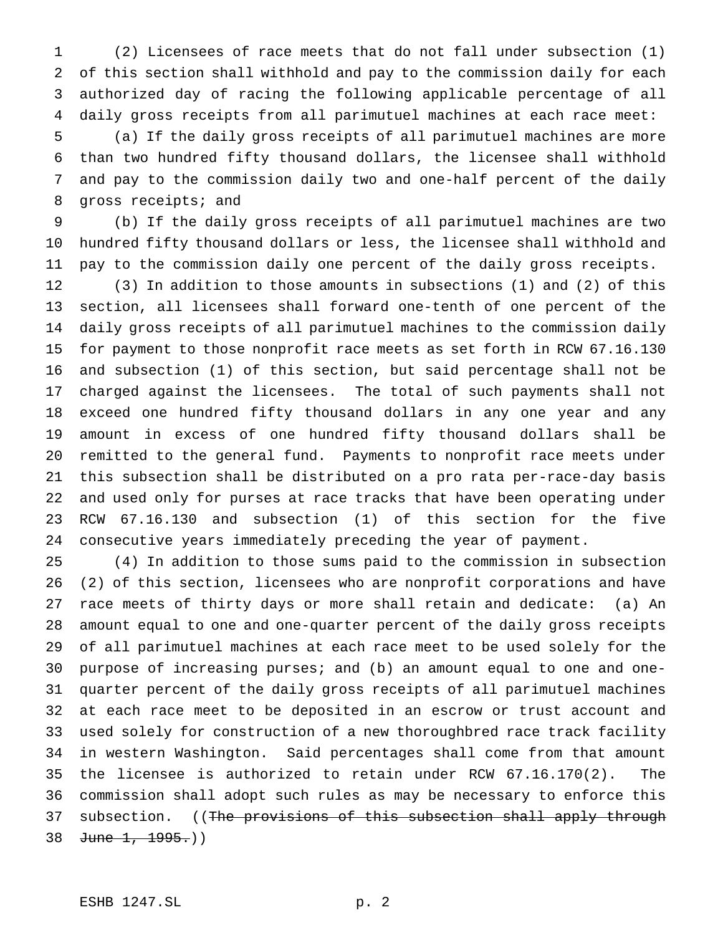(2) Licensees of race meets that do not fall under subsection (1) of this section shall withhold and pay to the commission daily for each authorized day of racing the following applicable percentage of all daily gross receipts from all parimutuel machines at each race meet:

 (a) If the daily gross receipts of all parimutuel machines are more than two hundred fifty thousand dollars, the licensee shall withhold and pay to the commission daily two and one-half percent of the daily gross receipts; and

 (b) If the daily gross receipts of all parimutuel machines are two hundred fifty thousand dollars or less, the licensee shall withhold and pay to the commission daily one percent of the daily gross receipts.

 (3) In addition to those amounts in subsections (1) and (2) of this section, all licensees shall forward one-tenth of one percent of the daily gross receipts of all parimutuel machines to the commission daily for payment to those nonprofit race meets as set forth in RCW 67.16.130 and subsection (1) of this section, but said percentage shall not be charged against the licensees. The total of such payments shall not exceed one hundred fifty thousand dollars in any one year and any amount in excess of one hundred fifty thousand dollars shall be remitted to the general fund. Payments to nonprofit race meets under this subsection shall be distributed on a pro rata per-race-day basis and used only for purses at race tracks that have been operating under RCW 67.16.130 and subsection (1) of this section for the five consecutive years immediately preceding the year of payment.

 (4) In addition to those sums paid to the commission in subsection (2) of this section, licensees who are nonprofit corporations and have race meets of thirty days or more shall retain and dedicate: (a) An amount equal to one and one-quarter percent of the daily gross receipts of all parimutuel machines at each race meet to be used solely for the purpose of increasing purses; and (b) an amount equal to one and one- quarter percent of the daily gross receipts of all parimutuel machines at each race meet to be deposited in an escrow or trust account and used solely for construction of a new thoroughbred race track facility in western Washington. Said percentages shall come from that amount the licensee is authorized to retain under RCW 67.16.170(2). The commission shall adopt such rules as may be necessary to enforce this 37 subsection. ((The provisions of this subsection shall apply through 38 June 1, 1995.)